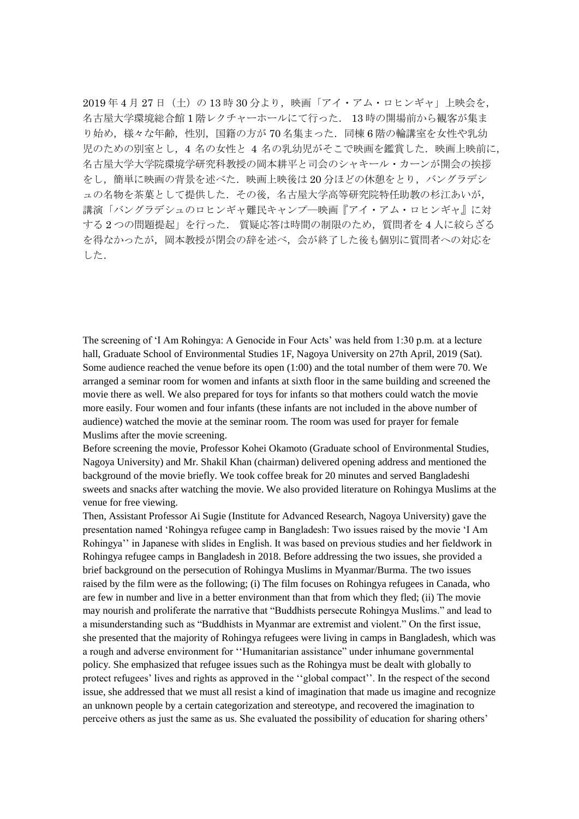2019年4月27日 (土)の13時30分より、映画「アイ・アム・ロヒンギャ」上映会を, 名古屋大学環境総合館 1 階レクチャーホールにて行った. 13 時の開場前から観客が集ま り始め、様々な年齢、性別、国籍の方が70名集まった.同棟6階の輪講室を女性や乳幼 児のための別室とし、4 名の女性と 4 名の乳幼児がそこで映画を鑑賞した.映画上映前に, 名古屋大学大学院環境学研究科教授の岡本耕平と司会のシャキール・カーンが開会の挨拶 をし、簡単に映画の背景を述べた.映画上映後は20分ほどの休憩をとり、バングラデシ ュの名物を茶菓として提供した.その後,名古屋大学高等研究院特任助教の杉江あいが, 講演「バングラデシュのロヒンギャ難民キャンプ―映画『アイ・アム・ロヒンギャ』に対 する 2 つの問題提起」を行った. 質疑応答は時間の制限のため,質問者を 4 人に絞らざる を得なかったが,岡本教授が閉会の辞を述べ,会が終了した後も個別に質問者への対応を した.

The screening of 'I Am Rohingya: A Genocide in Four Acts' was held from 1:30 p.m. at a lecture hall, Graduate School of Environmental Studies 1F, Nagoya University on 27th April, 2019 (Sat). Some audience reached the venue before its open (1:00) and the total number of them were 70. We arranged a seminar room for women and infants at sixth floor in the same building and screened the movie there as well. We also prepared for toys for infants so that mothers could watch the movie more easily. Four women and four infants (these infants are not included in the above number of audience) watched the movie at the seminar room. The room was used for prayer for female Muslims after the movie screening.

Before screening the movie, Professor Kohei Okamoto (Graduate school of Environmental Studies, Nagoya University) and Mr. Shakil Khan (chairman) delivered opening address and mentioned the background of the movie briefly. We took coffee break for 20 minutes and served Bangladeshi sweets and snacks after watching the movie. We also provided literature on Rohingya Muslims at the venue for free viewing.

Then, Assistant Professor Ai Sugie (Institute for Advanced Research, Nagoya University) gave the presentation named 'Rohingya refugee camp in Bangladesh: Two issues raised by the movie 'I Am Rohingya'' in Japanese with slides in English. It was based on previous studies and her fieldwork in Rohingya refugee camps in Bangladesh in 2018. Before addressing the two issues, she provided a brief background on the persecution of Rohingya Muslims in Myanmar/Burma. The two issues raised by the film were as the following; (i) The film focuses on Rohingya refugees in Canada, who are few in number and live in a better environment than that from which they fled; (ii) The movie may nourish and proliferate the narrative that "Buddhists persecute Rohingya Muslims." and lead to a misunderstanding such as "Buddhists in Myanmar are extremist and violent." On the first issue, she presented that the majority of Rohingya refugees were living in camps in Bangladesh, which was a rough and adverse environment for ''Humanitarian assistance" under inhumane governmental policy. She emphasized that refugee issues such as the Rohingya must be dealt with globally to protect refugees' lives and rights as approved in the ''global compact''. In the respect of the second issue, she addressed that we must all resist a kind of imagination that made us imagine and recognize an unknown people by a certain categorization and stereotype, and recovered the imagination to perceive others as just the same as us. She evaluated the possibility of education for sharing others'